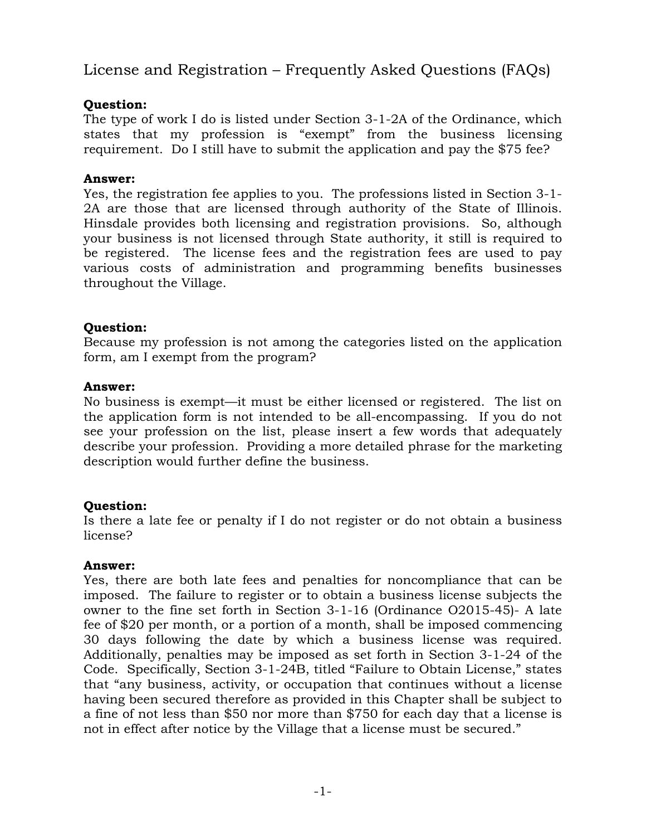# License and Registration – Frequently Asked Questions (FAQs)

# **Question:**

The type of work I do is listed under Section 3-1-2A of the Ordinance, which states that my profession is "exempt" from the business licensing requirement. Do I still have to submit the application and pay the \$75 fee?

# **Answer:**

Yes, the registration fee applies to you. The professions listed in Section 3-1- 2A are those that are licensed through authority of the State of Illinois. Hinsdale provides both licensing and registration provisions. So, although your business is not licensed through State authority, it still is required to be registered. The license fees and the registration fees are used to pay various costs of administration and programming benefits businesses throughout the Village.

# **Question:**

Because my profession is not among the categories listed on the application form, am I exempt from the program?

### **Answer:**

No business is exempt—it must be either licensed or registered. The list on the application form is not intended to be all-encompassing. If you do not see your profession on the list, please insert a few words that adequately describe your profession. Providing a more detailed phrase for the marketing description would further define the business.

# **Question:**

Is there a late fee or penalty if I do not register or do not obtain a business license?

### **Answer:**

Yes, there are both late fees and penalties for noncompliance that can be imposed. The failure to register or to obtain a business license subjects the owner to the fine set forth in Section 3-1-16 (Ordinance O2015-45)- A late fee of \$20 per month, or a portion of a month, shall be imposed commencing 30 days following the date by which a business license was required. Additionally, penalties may be imposed as set forth in Section 3-1-24 of the Code. Specifically, Section 3-1-24B, titled "Failure to Obtain License," states that "any business, activity, or occupation that continues without a license having been secured therefore as provided in this Chapter shall be subject to a fine of not less than \$50 nor more than \$750 for each day that a license is not in effect after notice by the Village that a license must be secured."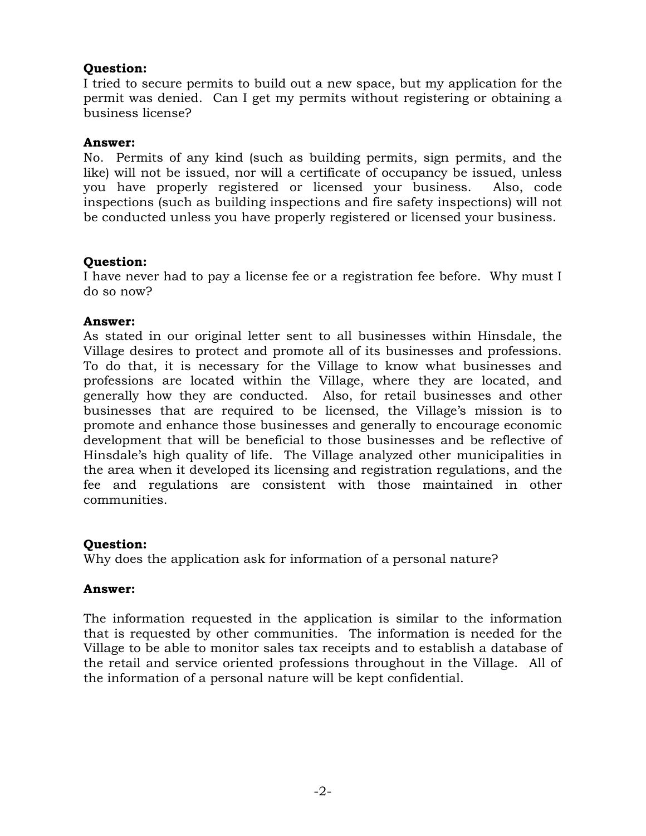### **Question:**

I tried to secure permits to build out a new space, but my application for the permit was denied. Can I get my permits without registering or obtaining a business license?

#### **Answer:**

No. Permits of any kind (such as building permits, sign permits, and the like) will not be issued, nor will a certificate of occupancy be issued, unless you have properly registered or licensed your business. Also, code inspections (such as building inspections and fire safety inspections) will not be conducted unless you have properly registered or licensed your business.

### **Question:**

I have never had to pay a license fee or a registration fee before. Why must I do so now?

#### **Answer:**

As stated in our original letter sent to all businesses within Hinsdale, the Village desires to protect and promote all of its businesses and professions. To do that, it is necessary for the Village to know what businesses and professions are located within the Village, where they are located, and generally how they are conducted. Also, for retail businesses and other businesses that are required to be licensed, the Village's mission is to promote and enhance those businesses and generally to encourage economic development that will be beneficial to those businesses and be reflective of Hinsdale's high quality of life. The Village analyzed other municipalities in the area when it developed its licensing and registration regulations, and the fee and regulations are consistent with those maintained in other communities.

#### **Question:**

Why does the application ask for information of a personal nature?

#### **Answer:**

The information requested in the application is similar to the information that is requested by other communities. The information is needed for the Village to be able to monitor sales tax receipts and to establish a database of the retail and service oriented professions throughout in the Village. All of the information of a personal nature will be kept confidential.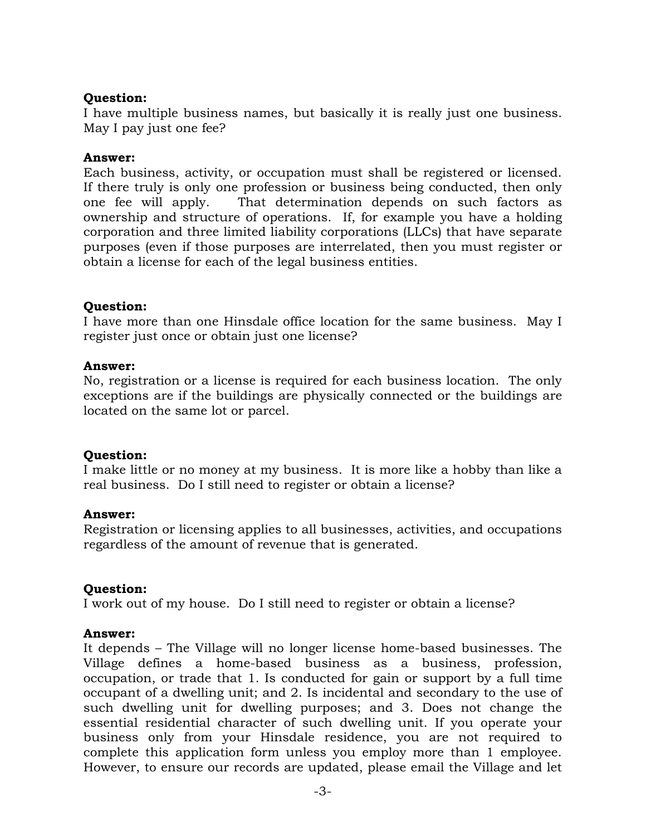### **Question:**

I have multiple business names, but basically it is really just one business. May I pay just one fee?

### **Answer:**

Each business, activity, or occupation must shall be registered or licensed. If there truly is only one profession or business being conducted, then only one fee will apply. That determination depends on such factors as ownership and structure of operations. If, for example you have a holding corporation and three limited liability corporations (LLCs) that have separate purposes (even if those purposes are interrelated, then you must register or obtain a license for each of the legal business entities.

### **Question:**

I have more than one Hinsdale office location for the same business. May I register just once or obtain just one license?

### **Answer:**

No, registration or a license is required for each business location. The only exceptions are if the buildings are physically connected or the buildings are located on the same lot or parcel.

### **Question:**

I make little or no money at my business. It is more like a hobby than like a real business. Do I still need to register or obtain a license?

### **Answer:**

Registration or licensing applies to all businesses, activities, and occupations regardless of the amount of revenue that is generated.

### **Question:**

I work out of my house. Do I still need to register or obtain a license?

### **Answer:**

It depends – The Village will no longer license home-based businesses. The Village defines a home-based business as a business, profession, occupation, or trade that 1. Is conducted for gain or support by a full time occupant of a dwelling unit; and 2. Is incidental and secondary to the use of such dwelling unit for dwelling purposes; and 3. Does not change the essential residential character of such dwelling unit. If you operate your business only from your Hinsdale residence, you are not required to complete this application form unless you employ more than 1 employee. However, to ensure our records are updated, please email the Village and let